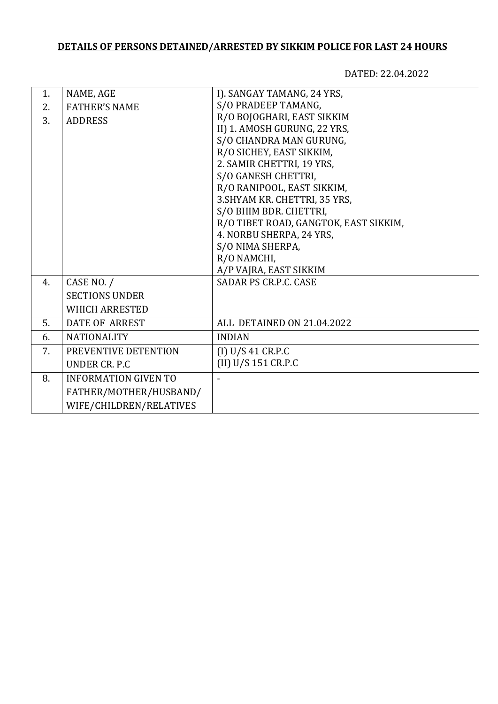## **DETAILS OF PERSONS DETAINED/ARRESTED BY SIKKIM POLICE FOR LAST 24 HOURS**

DATED: 22.04.2022

| 1. | NAME, AGE                   | I). SANGAY TAMANG, 24 YRS,            |
|----|-----------------------------|---------------------------------------|
| 2. | <b>FATHER'S NAME</b>        | S/O PRADEEP TAMANG,                   |
| 3. | <b>ADDRESS</b>              | R/O BOJOGHARI, EAST SIKKIM            |
|    |                             | II) 1. AMOSH GURUNG, 22 YRS,          |
|    |                             | S/O CHANDRA MAN GURUNG,               |
|    |                             | R/O SICHEY, EAST SIKKIM,              |
|    |                             | 2. SAMIR CHETTRI, 19 YRS,             |
|    |                             | S/O GANESH CHETTRI,                   |
|    |                             | R/O RANIPOOL, EAST SIKKIM,            |
|    |                             | 3. SHYAM KR. CHETTRI, 35 YRS,         |
|    |                             | S/O BHIM BDR. CHETTRI,                |
|    |                             | R/O TIBET ROAD, GANGTOK, EAST SIKKIM, |
|    |                             | 4. NORBU SHERPA, 24 YRS,              |
|    |                             | S/O NIMA SHERPA,                      |
|    |                             | R/O NAMCHI,                           |
|    |                             | A/P VAJRA, EAST SIKKIM                |
| 4. | CASE NO. /                  | <b>SADAR PS CR.P.C. CASE</b>          |
|    | <b>SECTIONS UNDER</b>       |                                       |
|    | <b>WHICH ARRESTED</b>       |                                       |
| 5. | <b>DATE OF ARREST</b>       | ALL DETAINED ON 21.04.2022            |
| 6. | <b>NATIONALITY</b>          | <b>INDIAN</b>                         |
| 7. | PREVENTIVE DETENTION        | (I) U/S 41 CR.P.C                     |
|    | UNDER CR. P.C               | (II) U/S 151 CR.P.C                   |
| 8. | <b>INFORMATION GIVEN TO</b> |                                       |
|    | FATHER/MOTHER/HUSBAND/      |                                       |
|    | WIFE/CHILDREN/RELATIVES     |                                       |
|    |                             |                                       |